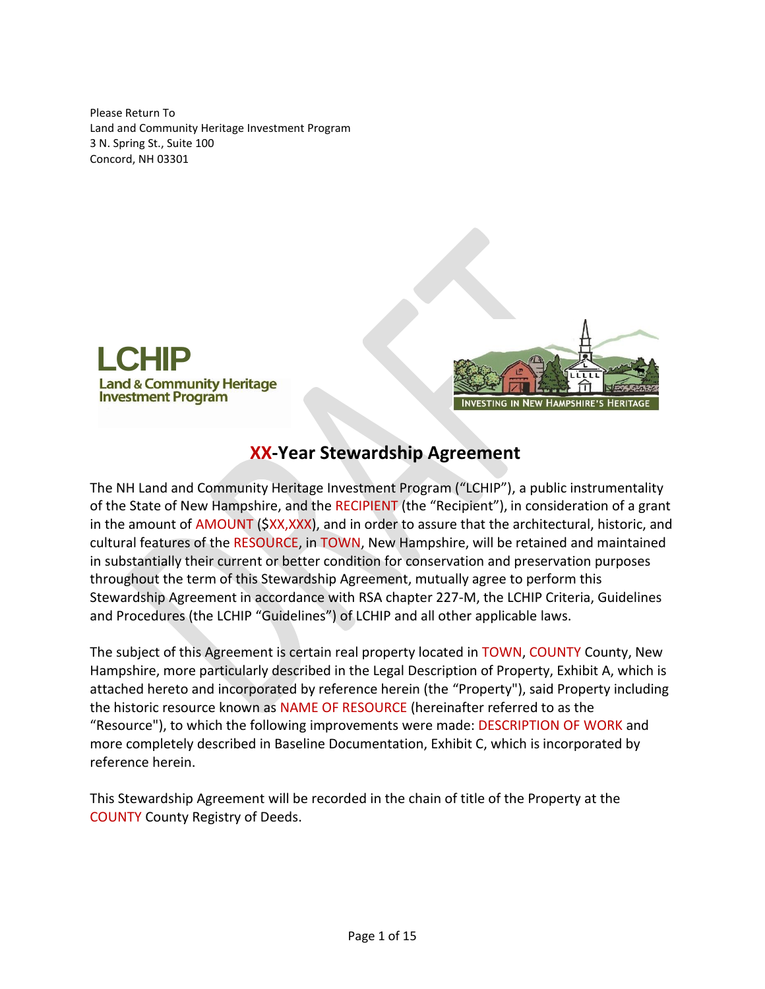Please Return To Land and Community Heritage Investment Program 3 N. Spring St., Suite 100 Concord, NH 03301





# **XX-Year Stewardship Agreement**

The NH Land and Community Heritage Investment Program ("LCHIP"), a public instrumentality of the State of New Hampshire, and the RECIPIENT (the "Recipient"), in consideration of a grant in the amount of AMOUNT (\$XX,XXX), and in order to assure that the architectural, historic, and cultural features of the RESOURCE, in TOWN, New Hampshire, will be retained and maintained in substantially their current or better condition for conservation and preservation purposes throughout the term of this Stewardship Agreement, mutually agree to perform this Stewardship Agreement in accordance with RSA chapter 227-M, the LCHIP Criteria, Guidelines and Procedures (the LCHIP "Guidelines") of LCHIP and all other applicable laws.

The subject of this Agreement is certain real property located in TOWN, COUNTY County, New Hampshire, more particularly described in the Legal Description of Property, Exhibit A, which is attached hereto and incorporated by reference herein (the "Property"), said Property including the historic resource known as NAME OF RESOURCE (hereinafter referred to as the "Resource"), to which the following improvements were made: DESCRIPTION OF WORK and more completely described in Baseline Documentation, Exhibit C, which is incorporated by reference herein.

This Stewardship Agreement will be recorded in the chain of title of the Property at the COUNTY County Registry of Deeds.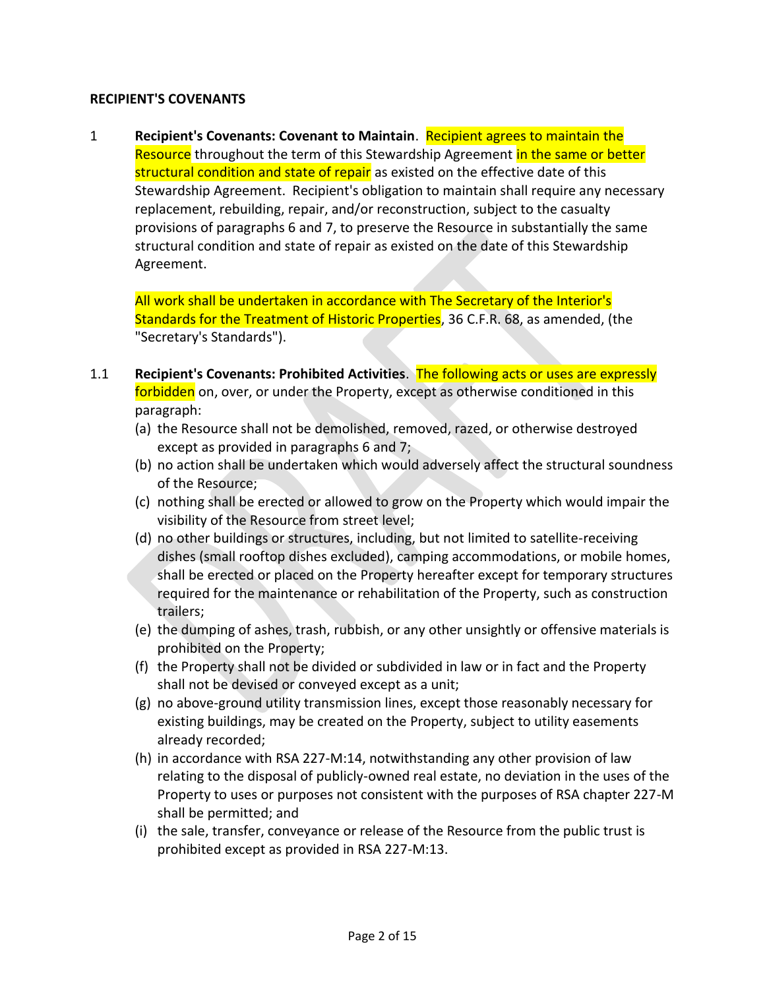## **RECIPIENT'S COVENANTS**

1 **Recipient's Covenants: Covenant to Maintain**. Recipient agrees to maintain the Resource throughout the term of this Stewardship Agreement in the same or better structural condition and state of repair as existed on the effective date of this Stewardship Agreement. Recipient's obligation to maintain shall require any necessary replacement, rebuilding, repair, and/or reconstruction, subject to the casualty provisions of paragraphs 6 and 7, to preserve the Resource in substantially the same structural condition and state of repair as existed on the date of this Stewardship Agreement.

All work shall be undertaken in accordance with The Secretary of the Interior's Standards for the Treatment of Historic Properties, 36 C.F.R. 68, as amended, (the "Secretary's Standards").

- 1.1 **Recipient's Covenants: Prohibited Activities**. The following acts or uses are expressly forbidden on, over, or under the Property, except as otherwise conditioned in this paragraph:
	- (a) the Resource shall not be demolished, removed, razed, or otherwise destroyed except as provided in paragraphs 6 and 7;
	- (b) no action shall be undertaken which would adversely affect the structural soundness of the Resource;
	- (c) nothing shall be erected or allowed to grow on the Property which would impair the visibility of the Resource from street level;
	- (d) no other buildings or structures, including, but not limited to satellite-receiving dishes (small rooftop dishes excluded), camping accommodations, or mobile homes, shall be erected or placed on the Property hereafter except for temporary structures required for the maintenance or rehabilitation of the Property, such as construction trailers;
	- (e) the dumping of ashes, trash, rubbish, or any other unsightly or offensive materials is prohibited on the Property;
	- (f) the Property shall not be divided or subdivided in law or in fact and the Property shall not be devised or conveyed except as a unit;
	- (g) no above-ground utility transmission lines, except those reasonably necessary for existing buildings, may be created on the Property, subject to utility easements already recorded;
	- (h) in accordance with RSA 227-M:14, notwithstanding any other provision of law relating to the disposal of publicly-owned real estate, no deviation in the uses of the Property to uses or purposes not consistent with the purposes of RSA chapter 227-M shall be permitted; and
	- (i) the sale, transfer, conveyance or release of the Resource from the public trust is prohibited except as provided in RSA 227-M:13.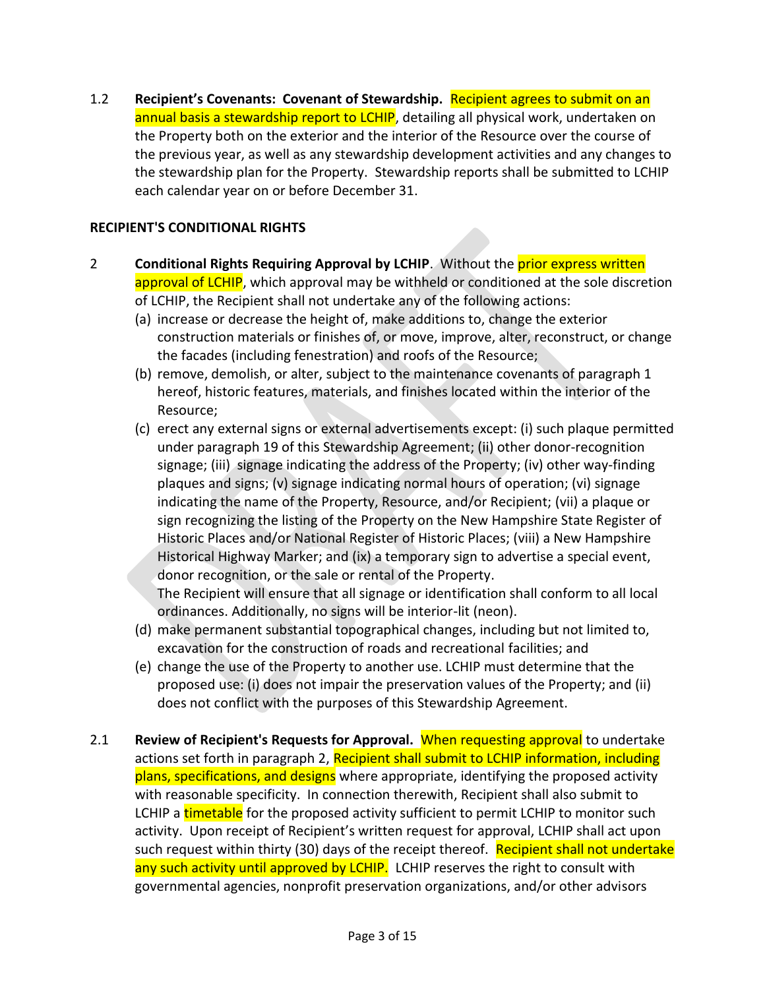1.2 **Recipient's Covenants: Covenant of Stewardship.** Recipient agrees to submit on an annual basis a stewardship report to LCHIP, detailing all physical work, undertaken on the Property both on the exterior and the interior of the Resource over the course of the previous year, as well as any stewardship development activities and any changes to the stewardship plan for the Property. Stewardship reports shall be submitted to LCHIP each calendar year on or before December 31.

# **RECIPIENT'S CONDITIONAL RIGHTS**

- 2 **Conditional Rights Requiring Approval by LCHIP**. Without the prior express written approval of LCHIP, which approval may be withheld or conditioned at the sole discretion of LCHIP, the Recipient shall not undertake any of the following actions:
	- (a) increase or decrease the height of, make additions to, change the exterior construction materials or finishes of, or move, improve, alter, reconstruct, or change the facades (including fenestration) and roofs of the Resource;
	- (b) remove, demolish, or alter, subject to the maintenance covenants of paragraph 1 hereof, historic features, materials, and finishes located within the interior of the Resource;
	- (c) erect any external signs or external advertisements except: (i) such plaque permitted under paragraph 19 of this Stewardship Agreement; (ii) other donor-recognition signage; (iii) signage indicating the address of the Property; (iv) other way-finding plaques and signs; (v) signage indicating normal hours of operation; (vi) signage indicating the name of the Property, Resource, and/or Recipient; (vii) a plaque or sign recognizing the listing of the Property on the New Hampshire State Register of Historic Places and/or National Register of Historic Places; (viii) a New Hampshire Historical Highway Marker; and (ix) a temporary sign to advertise a special event, donor recognition, or the sale or rental of the Property. The Recipient will ensure that all signage or identification shall conform to all local ordinances. Additionally, no signs will be interior-lit (neon).
	- (d) make permanent substantial topographical changes, including but not limited to, excavation for the construction of roads and recreational facilities; and
	- (e) change the use of the Property to another use. LCHIP must determine that the proposed use: (i) does not impair the preservation values of the Property; and (ii) does not conflict with the purposes of this Stewardship Agreement.
- 2.1 **Review of Recipient's Requests for Approval.** When requesting approval to undertake actions set forth in paragraph 2, Recipient shall submit to LCHIP information, including plans, specifications, and designs where appropriate, identifying the proposed activity with reasonable specificity. In connection therewith, Recipient shall also submit to LCHIP a timetable for the proposed activity sufficient to permit LCHIP to monitor such activity. Upon receipt of Recipient's written request for approval, LCHIP shall act upon such request within thirty (30) days of the receipt thereof. Recipient shall not undertake any such activity until approved by LCHIP. LCHIP reserves the right to consult with governmental agencies, nonprofit preservation organizations, and/or other advisors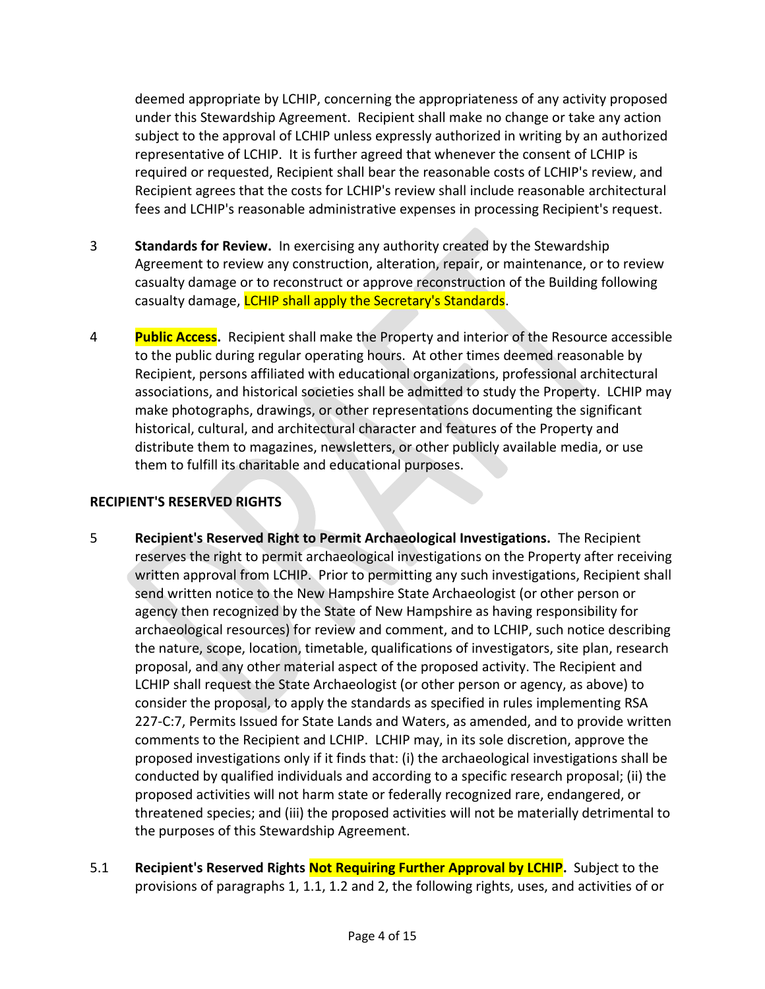deemed appropriate by LCHIP, concerning the appropriateness of any activity proposed under this Stewardship Agreement. Recipient shall make no change or take any action subject to the approval of LCHIP unless expressly authorized in writing by an authorized representative of LCHIP. It is further agreed that whenever the consent of LCHIP is required or requested, Recipient shall bear the reasonable costs of LCHIP's review, and Recipient agrees that the costs for LCHIP's review shall include reasonable architectural fees and LCHIP's reasonable administrative expenses in processing Recipient's request.

- 3 **Standards for Review.** In exercising any authority created by the Stewardship Agreement to review any construction, alteration, repair, or maintenance, or to review casualty damage or to reconstruct or approve reconstruction of the Building following casualty damage, *LCHIP shall apply the Secretary's Standards*.
- 4 **Public Access.** Recipient shall make the Property and interior of the Resource accessible to the public during regular operating hours. At other times deemed reasonable by Recipient, persons affiliated with educational organizations, professional architectural associations, and historical societies shall be admitted to study the Property. LCHIP may make photographs, drawings, or other representations documenting the significant historical, cultural, and architectural character and features of the Property and distribute them to magazines, newsletters, or other publicly available media, or use them to fulfill its charitable and educational purposes.

# **RECIPIENT'S RESERVED RIGHTS**

- 5 **Recipient's Reserved Right to Permit Archaeological Investigations.** The Recipient reserves the right to permit archaeological investigations on the Property after receiving written approval from LCHIP. Prior to permitting any such investigations, Recipient shall send written notice to the New Hampshire State Archaeologist (or other person or agency then recognized by the State of New Hampshire as having responsibility for archaeological resources) for review and comment, and to LCHIP, such notice describing the nature, scope, location, timetable, qualifications of investigators, site plan, research proposal, and any other material aspect of the proposed activity. The Recipient and LCHIP shall request the State Archaeologist (or other person or agency, as above) to consider the proposal, to apply the standards as specified in rules implementing RSA 227-C:7, Permits Issued for State Lands and Waters, as amended, and to provide written comments to the Recipient and LCHIP. LCHIP may, in its sole discretion, approve the proposed investigations only if it finds that: (i) the archaeological investigations shall be conducted by qualified individuals and according to a specific research proposal; (ii) the proposed activities will not harm state or federally recognized rare, endangered, or threatened species; and (iii) the proposed activities will not be materially detrimental to the purposes of this Stewardship Agreement.
- 5.1 **Recipient's Reserved Rights Not Requiring Further Approval by LCHIP.** Subject to the provisions of paragraphs 1, 1.1, 1.2 and 2, the following rights, uses, and activities of or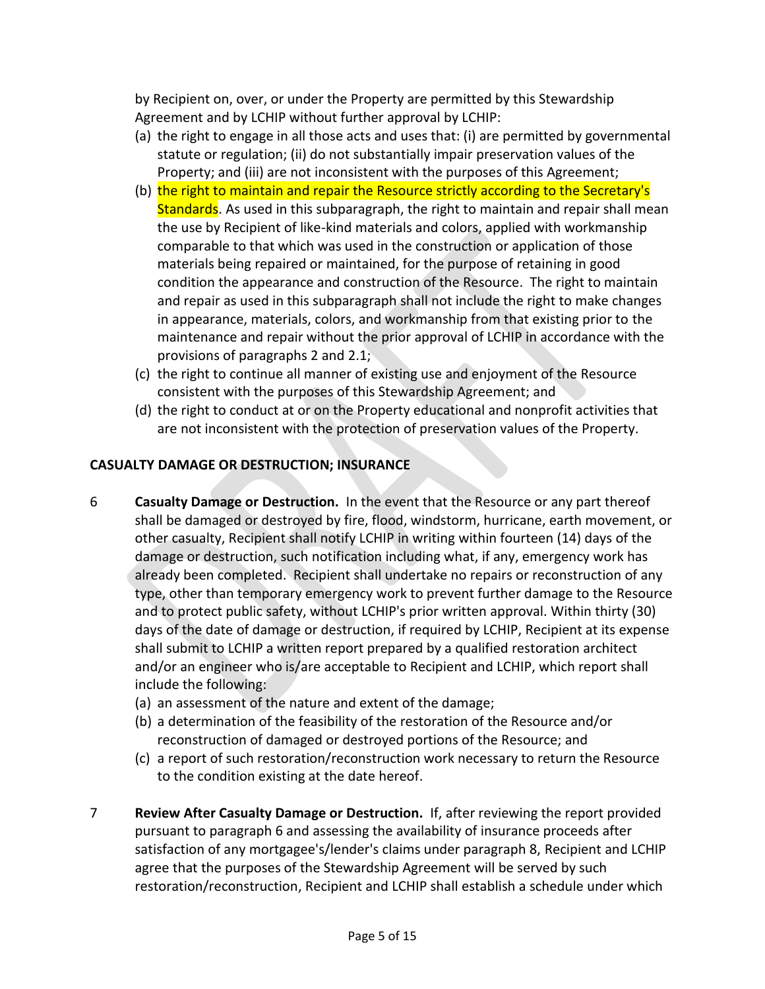by Recipient on, over, or under the Property are permitted by this Stewardship Agreement and by LCHIP without further approval by LCHIP:

- (a) the right to engage in all those acts and uses that: (i) are permitted by governmental statute or regulation; (ii) do not substantially impair preservation values of the Property; and (iii) are not inconsistent with the purposes of this Agreement;
- (b) the right to maintain and repair the Resource strictly according to the Secretary's Standards. As used in this subparagraph, the right to maintain and repair shall mean the use by Recipient of like-kind materials and colors, applied with workmanship comparable to that which was used in the construction or application of those materials being repaired or maintained, for the purpose of retaining in good condition the appearance and construction of the Resource. The right to maintain and repair as used in this subparagraph shall not include the right to make changes in appearance, materials, colors, and workmanship from that existing prior to the maintenance and repair without the prior approval of LCHIP in accordance with the provisions of paragraphs 2 and 2.1;
- (c) the right to continue all manner of existing use and enjoyment of the Resource consistent with the purposes of this Stewardship Agreement; and
- (d) the right to conduct at or on the Property educational and nonprofit activities that are not inconsistent with the protection of preservation values of the Property.

# **CASUALTY DAMAGE OR DESTRUCTION; INSURANCE**

- 6 **Casualty Damage or Destruction.** In the event that the Resource or any part thereof shall be damaged or destroyed by fire, flood, windstorm, hurricane, earth movement, or other casualty, Recipient shall notify LCHIP in writing within fourteen (14) days of the damage or destruction, such notification including what, if any, emergency work has already been completed. Recipient shall undertake no repairs or reconstruction of any type, other than temporary emergency work to prevent further damage to the Resource and to protect public safety, without LCHIP's prior written approval. Within thirty (30) days of the date of damage or destruction, if required by LCHIP, Recipient at its expense shall submit to LCHIP a written report prepared by a qualified restoration architect and/or an engineer who is/are acceptable to Recipient and LCHIP, which report shall include the following:
	- (a) an assessment of the nature and extent of the damage;
	- (b) a determination of the feasibility of the restoration of the Resource and/or reconstruction of damaged or destroyed portions of the Resource; and
	- (c) a report of such restoration/reconstruction work necessary to return the Resource to the condition existing at the date hereof.
- 7 **Review After Casualty Damage or Destruction.** If, after reviewing the report provided pursuant to paragraph 6 and assessing the availability of insurance proceeds after satisfaction of any mortgagee's/lender's claims under paragraph 8, Recipient and LCHIP agree that the purposes of the Stewardship Agreement will be served by such restoration/reconstruction, Recipient and LCHIP shall establish a schedule under which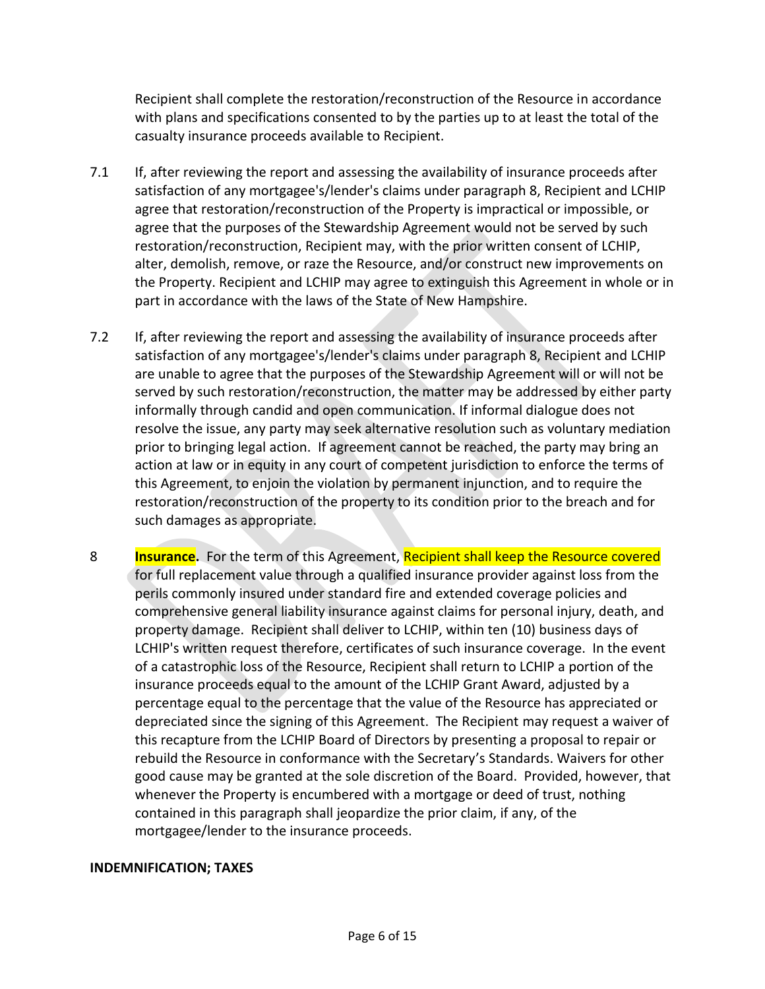Recipient shall complete the restoration/reconstruction of the Resource in accordance with plans and specifications consented to by the parties up to at least the total of the casualty insurance proceeds available to Recipient.

- 7.1 If, after reviewing the report and assessing the availability of insurance proceeds after satisfaction of any mortgagee's/lender's claims under paragraph 8, Recipient and LCHIP agree that restoration/reconstruction of the Property is impractical or impossible, or agree that the purposes of the Stewardship Agreement would not be served by such restoration/reconstruction, Recipient may, with the prior written consent of LCHIP, alter, demolish, remove, or raze the Resource, and/or construct new improvements on the Property. Recipient and LCHIP may agree to extinguish this Agreement in whole or in part in accordance with the laws of the State of New Hampshire.
- 7.2 If, after reviewing the report and assessing the availability of insurance proceeds after satisfaction of any mortgagee's/lender's claims under paragraph 8, Recipient and LCHIP are unable to agree that the purposes of the Stewardship Agreement will or will not be served by such restoration/reconstruction, the matter may be addressed by either party informally through candid and open communication. If informal dialogue does not resolve the issue, any party may seek alternative resolution such as voluntary mediation prior to bringing legal action. If agreement cannot be reached, the party may bring an action at law or in equity in any court of competent jurisdiction to enforce the terms of this Agreement, to enjoin the violation by permanent injunction, and to require the restoration/reconstruction of the property to its condition prior to the breach and for such damages as appropriate.
- 8 **Insurance.** For the term of this Agreement, Recipient shall keep the Resource covered for full replacement value through a qualified insurance provider against loss from the perils commonly insured under standard fire and extended coverage policies and comprehensive general liability insurance against claims for personal injury, death, and property damage. Recipient shall deliver to LCHIP, within ten (10) business days of LCHIP's written request therefore, certificates of such insurance coverage. In the event of a catastrophic loss of the Resource, Recipient shall return to LCHIP a portion of the insurance proceeds equal to the amount of the LCHIP Grant Award, adjusted by a percentage equal to the percentage that the value of the Resource has appreciated or depreciated since the signing of this Agreement. The Recipient may request a waiver of this recapture from the LCHIP Board of Directors by presenting a proposal to repair or rebuild the Resource in conformance with the Secretary's Standards. Waivers for other good cause may be granted at the sole discretion of the Board. Provided, however, that whenever the Property is encumbered with a mortgage or deed of trust, nothing contained in this paragraph shall jeopardize the prior claim, if any, of the mortgagee/lender to the insurance proceeds.

## **INDEMNIFICATION; TAXES**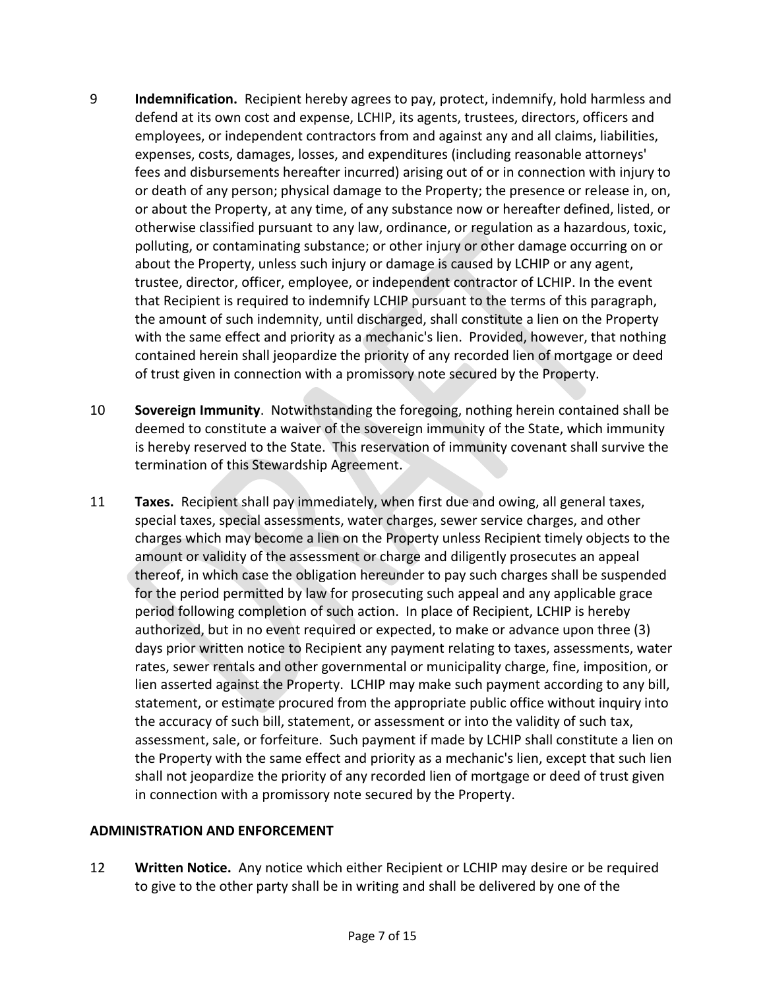- 9 **Indemnification.** Recipient hereby agrees to pay, protect, indemnify, hold harmless and defend at its own cost and expense, LCHIP, its agents, trustees, directors, officers and employees, or independent contractors from and against any and all claims, liabilities, expenses, costs, damages, losses, and expenditures (including reasonable attorneys' fees and disbursements hereafter incurred) arising out of or in connection with injury to or death of any person; physical damage to the Property; the presence or release in, on, or about the Property, at any time, of any substance now or hereafter defined, listed, or otherwise classified pursuant to any law, ordinance, or regulation as a hazardous, toxic, polluting, or contaminating substance; or other injury or other damage occurring on or about the Property, unless such injury or damage is caused by LCHIP or any agent, trustee, director, officer, employee, or independent contractor of LCHIP. In the event that Recipient is required to indemnify LCHIP pursuant to the terms of this paragraph, the amount of such indemnity, until discharged, shall constitute a lien on the Property with the same effect and priority as a mechanic's lien. Provided, however, that nothing contained herein shall jeopardize the priority of any recorded lien of mortgage or deed of trust given in connection with a promissory note secured by the Property.
- 10 **Sovereign Immunity**. Notwithstanding the foregoing, nothing herein contained shall be deemed to constitute a waiver of the sovereign immunity of the State, which immunity is hereby reserved to the State. This reservation of immunity covenant shall survive the termination of this Stewardship Agreement.
- 11 **Taxes.** Recipient shall pay immediately, when first due and owing, all general taxes, special taxes, special assessments, water charges, sewer service charges, and other charges which may become a lien on the Property unless Recipient timely objects to the amount or validity of the assessment or charge and diligently prosecutes an appeal thereof, in which case the obligation hereunder to pay such charges shall be suspended for the period permitted by law for prosecuting such appeal and any applicable grace period following completion of such action. In place of Recipient, LCHIP is hereby authorized, but in no event required or expected, to make or advance upon three (3) days prior written notice to Recipient any payment relating to taxes, assessments, water rates, sewer rentals and other governmental or municipality charge, fine, imposition, or lien asserted against the Property. LCHIP may make such payment according to any bill, statement, or estimate procured from the appropriate public office without inquiry into the accuracy of such bill, statement, or assessment or into the validity of such tax, assessment, sale, or forfeiture. Such payment if made by LCHIP shall constitute a lien on the Property with the same effect and priority as a mechanic's lien, except that such lien shall not jeopardize the priority of any recorded lien of mortgage or deed of trust given in connection with a promissory note secured by the Property.

## **ADMINISTRATION AND ENFORCEMENT**

12 **Written Notice.** Any notice which either Recipient or LCHIP may desire or be required to give to the other party shall be in writing and shall be delivered by one of the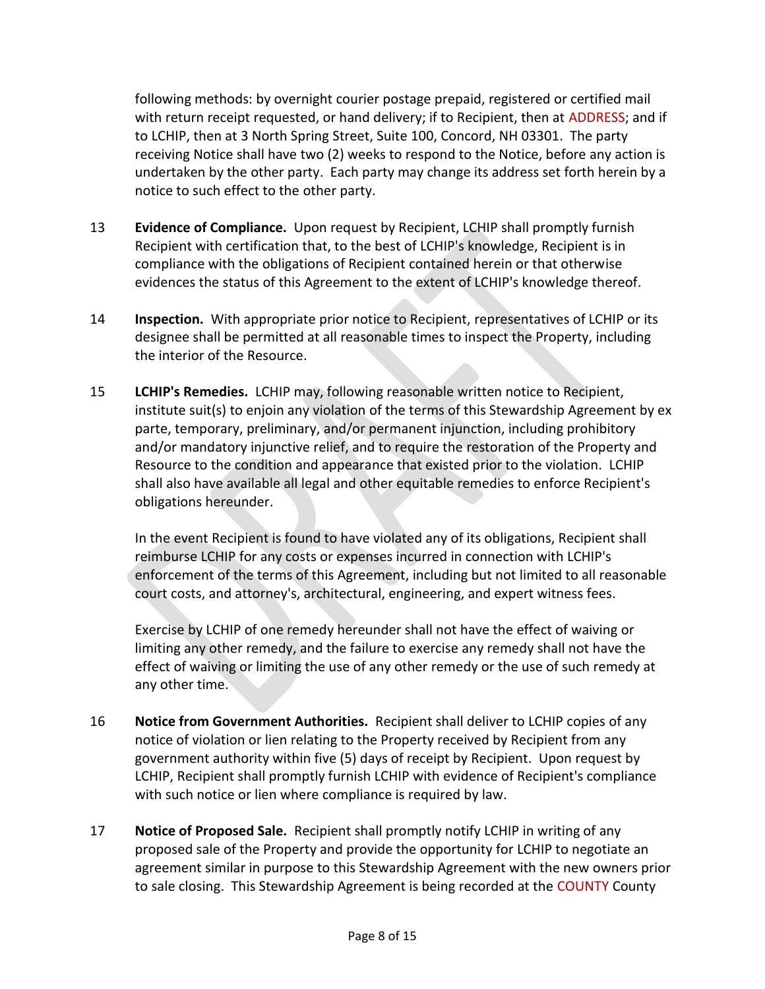following methods: by overnight courier postage prepaid, registered or certified mail with return receipt requested, or hand delivery; if to Recipient, then at ADDRESS; and if to LCHIP, then at 3 North Spring Street, Suite 100, Concord, NH 03301. The party receiving Notice shall have two (2) weeks to respond to the Notice, before any action is undertaken by the other party. Each party may change its address set forth herein by a notice to such effect to the other party.

- 13 **Evidence of Compliance.** Upon request by Recipient, LCHIP shall promptly furnish Recipient with certification that, to the best of LCHIP's knowledge, Recipient is in compliance with the obligations of Recipient contained herein or that otherwise evidences the status of this Agreement to the extent of LCHIP's knowledge thereof.
- 14 **Inspection.** With appropriate prior notice to Recipient, representatives of LCHIP or its designee shall be permitted at all reasonable times to inspect the Property, including the interior of the Resource.
- 15 **LCHIP's Remedies.** LCHIP may, following reasonable written notice to Recipient, institute suit(s) to enjoin any violation of the terms of this Stewardship Agreement by ex parte, temporary, preliminary, and/or permanent injunction, including prohibitory and/or mandatory injunctive relief, and to require the restoration of the Property and Resource to the condition and appearance that existed prior to the violation. LCHIP shall also have available all legal and other equitable remedies to enforce Recipient's obligations hereunder.

In the event Recipient is found to have violated any of its obligations, Recipient shall reimburse LCHIP for any costs or expenses incurred in connection with LCHIP's enforcement of the terms of this Agreement, including but not limited to all reasonable court costs, and attorney's, architectural, engineering, and expert witness fees.

Exercise by LCHIP of one remedy hereunder shall not have the effect of waiving or limiting any other remedy, and the failure to exercise any remedy shall not have the effect of waiving or limiting the use of any other remedy or the use of such remedy at any other time.

- 16 **Notice from Government Authorities.** Recipient shall deliver to LCHIP copies of any notice of violation or lien relating to the Property received by Recipient from any government authority within five (5) days of receipt by Recipient. Upon request by LCHIP, Recipient shall promptly furnish LCHIP with evidence of Recipient's compliance with such notice or lien where compliance is required by law.
- 17 **Notice of Proposed Sale.** Recipient shall promptly notify LCHIP in writing of any proposed sale of the Property and provide the opportunity for LCHIP to negotiate an agreement similar in purpose to this Stewardship Agreement with the new owners prior to sale closing. This Stewardship Agreement is being recorded at the COUNTY County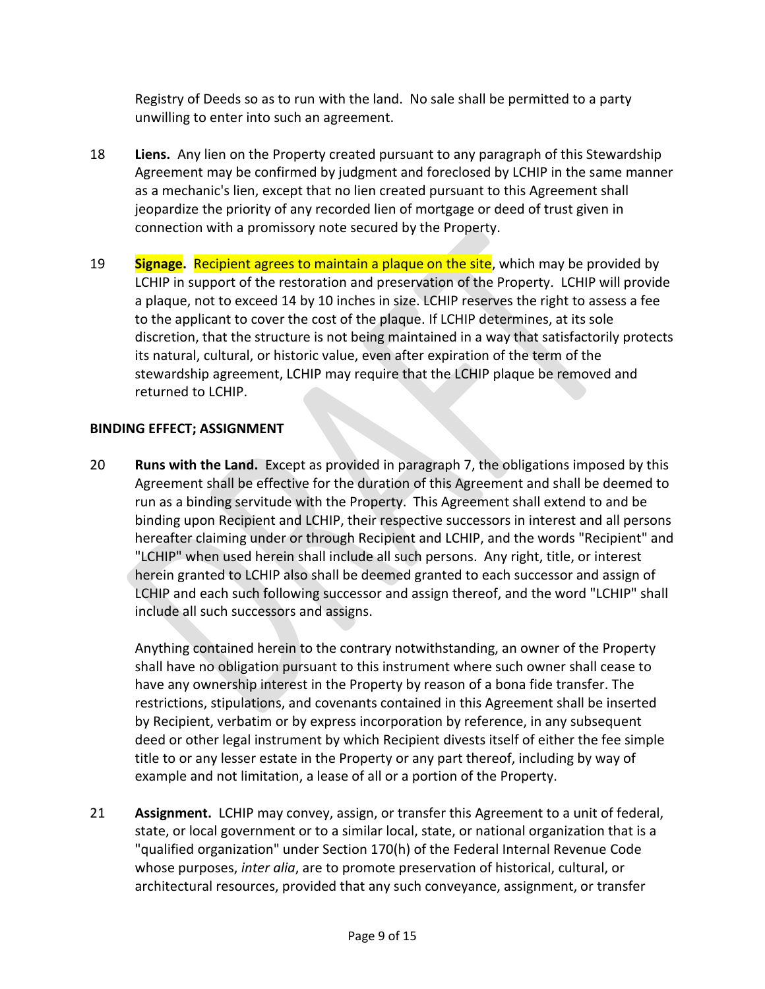Registry of Deeds so as to run with the land. No sale shall be permitted to a party unwilling to enter into such an agreement.

- 18 **Liens.** Any lien on the Property created pursuant to any paragraph of this Stewardship Agreement may be confirmed by judgment and foreclosed by LCHIP in the same manner as a mechanic's lien, except that no lien created pursuant to this Agreement shall jeopardize the priority of any recorded lien of mortgage or deed of trust given in connection with a promissory note secured by the Property.
- 19 **Signage.** Recipient agrees to maintain a plaque on the site, which may be provided by LCHIP in support of the restoration and preservation of the Property. LCHIP will provide a plaque, not to exceed 14 by 10 inches in size. LCHIP reserves the right to assess a fee to the applicant to cover the cost of the plaque. If LCHIP determines, at its sole discretion, that the structure is not being maintained in a way that satisfactorily protects its natural, cultural, or historic value, even after expiration of the term of the stewardship agreement, LCHIP may require that the LCHIP plaque be removed and returned to LCHIP.

# **BINDING EFFECT; ASSIGNMENT**

20 **Runs with the Land.** Except as provided in paragraph 7, the obligations imposed by this Agreement shall be effective for the duration of this Agreement and shall be deemed to run as a binding servitude with the Property. This Agreement shall extend to and be binding upon Recipient and LCHIP, their respective successors in interest and all persons hereafter claiming under or through Recipient and LCHIP, and the words "Recipient" and "LCHIP" when used herein shall include all such persons. Any right, title, or interest herein granted to LCHIP also shall be deemed granted to each successor and assign of LCHIP and each such following successor and assign thereof, and the word "LCHIP" shall include all such successors and assigns.

Anything contained herein to the contrary notwithstanding, an owner of the Property shall have no obligation pursuant to this instrument where such owner shall cease to have any ownership interest in the Property by reason of a bona fide transfer. The restrictions, stipulations, and covenants contained in this Agreement shall be inserted by Recipient, verbatim or by express incorporation by reference, in any subsequent deed or other legal instrument by which Recipient divests itself of either the fee simple title to or any lesser estate in the Property or any part thereof, including by way of example and not limitation, a lease of all or a portion of the Property.

21 **Assignment.** LCHIP may convey, assign, or transfer this Agreement to a unit of federal, state, or local government or to a similar local, state, or national organization that is a "qualified organization" under Section 170(h) of the Federal Internal Revenue Code whose purposes, *inter alia*, are to promote preservation of historical, cultural, or architectural resources, provided that any such conveyance, assignment, or transfer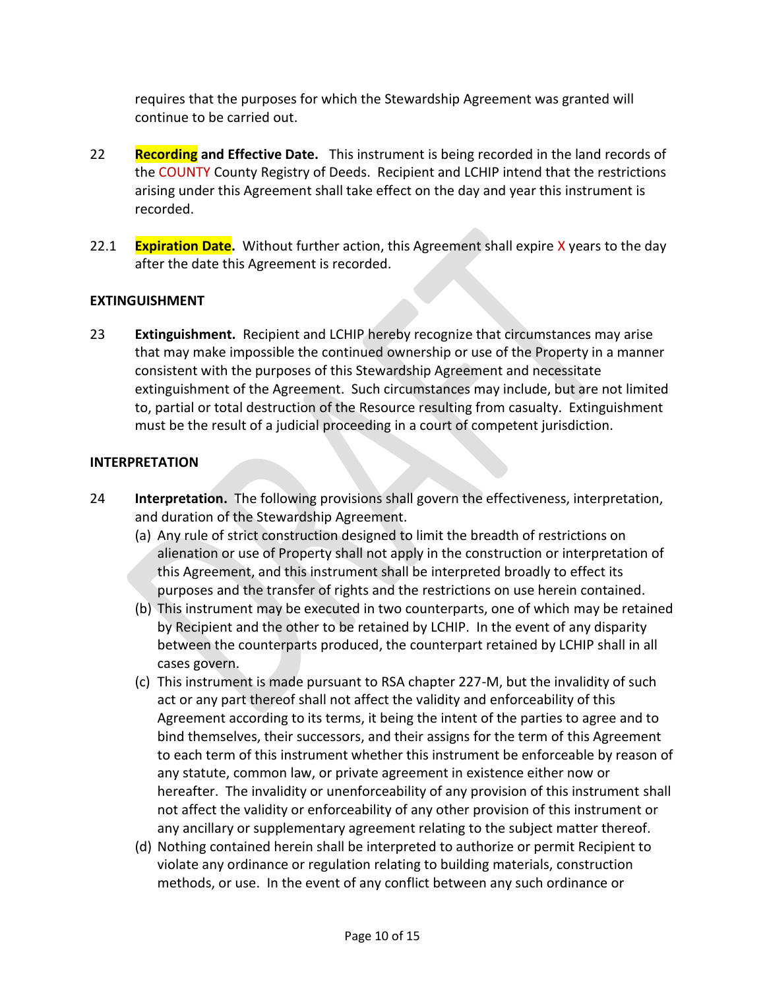requires that the purposes for which the Stewardship Agreement was granted will continue to be carried out.

- 22 **Recording and Effective Date.** This instrument is being recorded in the land records of the COUNTY County Registry of Deeds. Recipient and LCHIP intend that the restrictions arising under this Agreement shall take effect on the day and year this instrument is recorded.
- 22.1 **Expiration Date.** Without further action, this Agreement shall expire X years to the day after the date this Agreement is recorded.

# **EXTINGUISHMENT**

23 **Extinguishment.** Recipient and LCHIP hereby recognize that circumstances may arise that may make impossible the continued ownership or use of the Property in a manner consistent with the purposes of this Stewardship Agreement and necessitate extinguishment of the Agreement. Such circumstances may include, but are not limited to, partial or total destruction of the Resource resulting from casualty. Extinguishment must be the result of a judicial proceeding in a court of competent jurisdiction.

# **INTERPRETATION**

- 24 **Interpretation.** The following provisions shall govern the effectiveness, interpretation, and duration of the Stewardship Agreement.
	- (a) Any rule of strict construction designed to limit the breadth of restrictions on alienation or use of Property shall not apply in the construction or interpretation of this Agreement, and this instrument shall be interpreted broadly to effect its purposes and the transfer of rights and the restrictions on use herein contained.
	- (b) This instrument may be executed in two counterparts, one of which may be retained by Recipient and the other to be retained by LCHIP. In the event of any disparity between the counterparts produced, the counterpart retained by LCHIP shall in all cases govern.
	- (c) This instrument is made pursuant to RSA chapter 227-M, but the invalidity of such act or any part thereof shall not affect the validity and enforceability of this Agreement according to its terms, it being the intent of the parties to agree and to bind themselves, their successors, and their assigns for the term of this Agreement to each term of this instrument whether this instrument be enforceable by reason of any statute, common law, or private agreement in existence either now or hereafter. The invalidity or unenforceability of any provision of this instrument shall not affect the validity or enforceability of any other provision of this instrument or any ancillary or supplementary agreement relating to the subject matter thereof.
	- (d) Nothing contained herein shall be interpreted to authorize or permit Recipient to violate any ordinance or regulation relating to building materials, construction methods, or use. In the event of any conflict between any such ordinance or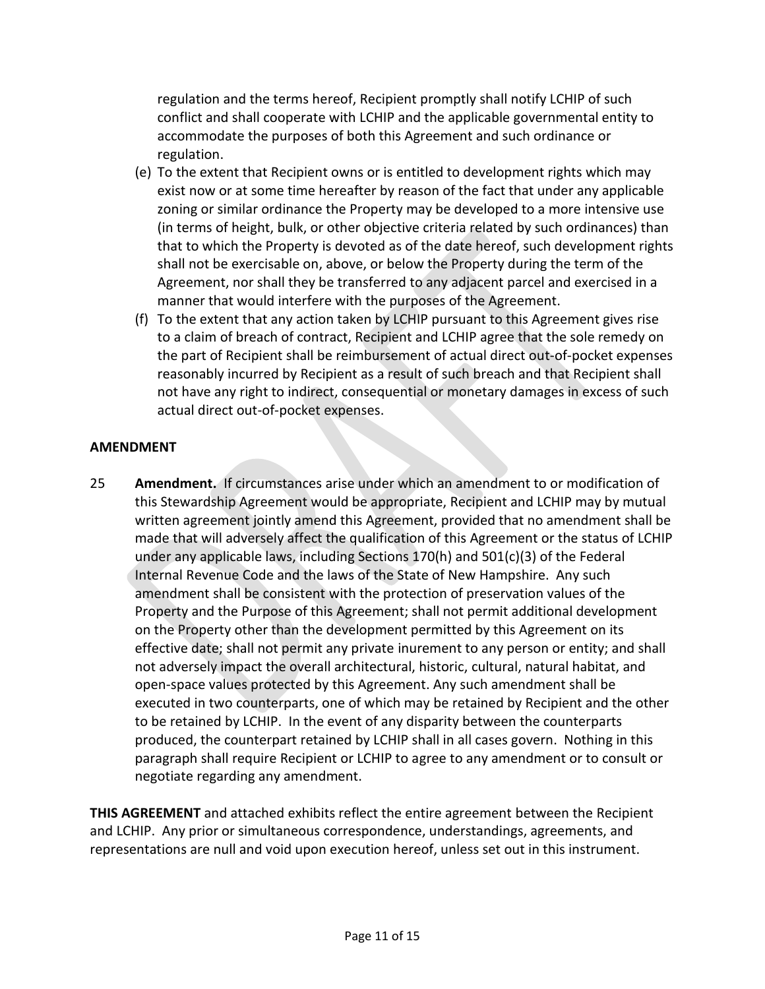regulation and the terms hereof, Recipient promptly shall notify LCHIP of such conflict and shall cooperate with LCHIP and the applicable governmental entity to accommodate the purposes of both this Agreement and such ordinance or regulation.

- (e) To the extent that Recipient owns or is entitled to development rights which may exist now or at some time hereafter by reason of the fact that under any applicable zoning or similar ordinance the Property may be developed to a more intensive use (in terms of height, bulk, or other objective criteria related by such ordinances) than that to which the Property is devoted as of the date hereof, such development rights shall not be exercisable on, above, or below the Property during the term of the Agreement, nor shall they be transferred to any adjacent parcel and exercised in a manner that would interfere with the purposes of the Agreement.
- (f) To the extent that any action taken by LCHIP pursuant to this Agreement gives rise to a claim of breach of contract, Recipient and LCHIP agree that the sole remedy on the part of Recipient shall be reimbursement of actual direct out-of-pocket expenses reasonably incurred by Recipient as a result of such breach and that Recipient shall not have any right to indirect, consequential or monetary damages in excess of such actual direct out-of-pocket expenses.

# **AMENDMENT**

25 **Amendment.** If circumstances arise under which an amendment to or modification of this Stewardship Agreement would be appropriate, Recipient and LCHIP may by mutual written agreement jointly amend this Agreement, provided that no amendment shall be made that will adversely affect the qualification of this Agreement or the status of LCHIP under any applicable laws, including Sections 170(h) and 501(c)(3) of the Federal Internal Revenue Code and the laws of the State of New Hampshire. Any such amendment shall be consistent with the protection of preservation values of the Property and the Purpose of this Agreement; shall not permit additional development on the Property other than the development permitted by this Agreement on its effective date; shall not permit any private inurement to any person or entity; and shall not adversely impact the overall architectural, historic, cultural, natural habitat, and open-space values protected by this Agreement. Any such amendment shall be executed in two counterparts, one of which may be retained by Recipient and the other to be retained by LCHIP. In the event of any disparity between the counterparts produced, the counterpart retained by LCHIP shall in all cases govern. Nothing in this paragraph shall require Recipient or LCHIP to agree to any amendment or to consult or negotiate regarding any amendment.

**THIS AGREEMENT** and attached exhibits reflect the entire agreement between the Recipient and LCHIP. Any prior or simultaneous correspondence, understandings, agreements, and representations are null and void upon execution hereof, unless set out in this instrument.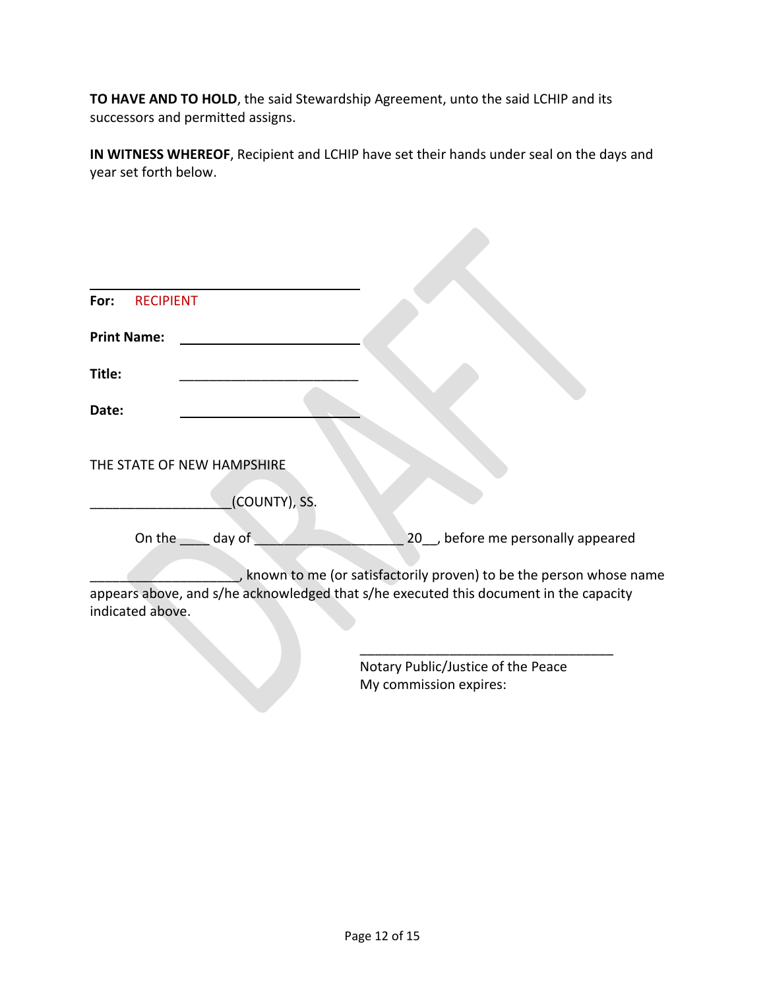**TO HAVE AND TO HOLD**, the said Stewardship Agreement, unto the said LCHIP and its successors and permitted assigns.

**IN WITNESS WHEREOF**, Recipient and LCHIP have set their hands under seal on the days and year set forth below.

| <b>RECIPIENT</b><br>For: |                                    |                                                                                       |
|--------------------------|------------------------------------|---------------------------------------------------------------------------------------|
| <b>Print Name:</b>       |                                    |                                                                                       |
| Title:                   |                                    |                                                                                       |
| Date:                    |                                    |                                                                                       |
|                          | THE STATE OF NEW HAMPSHIRE         |                                                                                       |
|                          | (COUNTY), SS.                      |                                                                                       |
|                          | On the $\rule{1em}{0.15mm}$ day of | 20_, before me personally appeared                                                    |
|                          |                                    | , known to me (or satisfactorily proven) to be the person whose name                  |
| indicated above.         |                                    | appears above, and s/he acknowledged that s/he executed this document in the capacity |
|                          |                                    |                                                                                       |

Notary Public/Justice of the Peace My commission expires: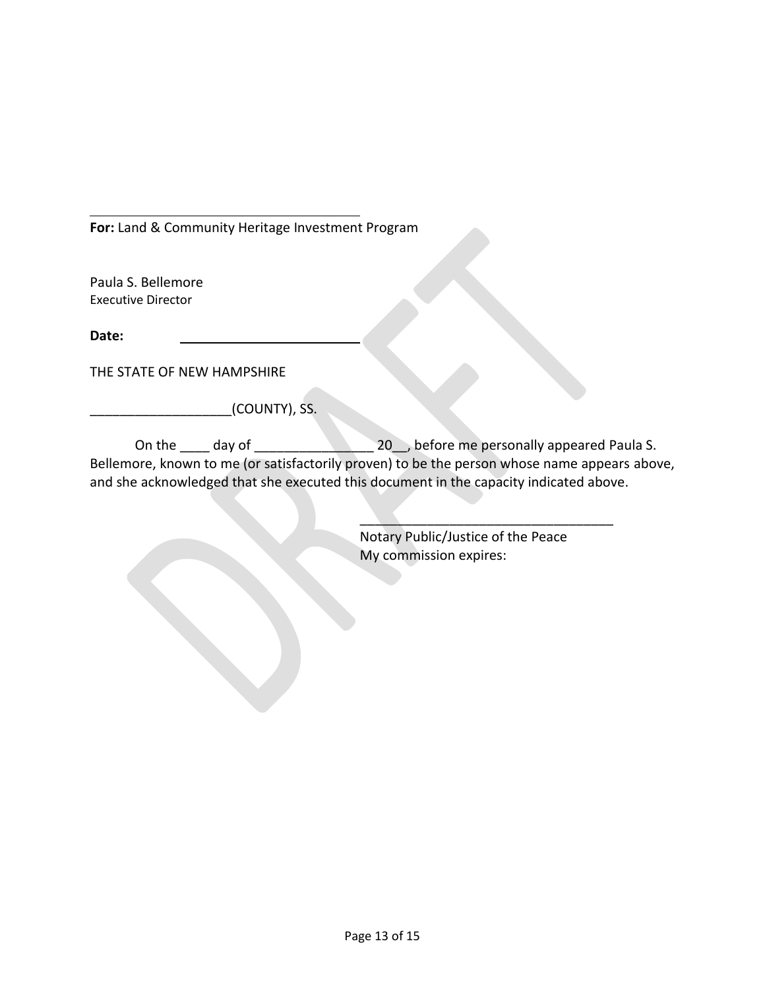**For:** Land & Community Heritage Investment Program

Paula S. Bellemore Executive Director

**Date:**

THE STATE OF NEW HAMPSHIRE

 $_$ c(COUNTY), SS.

On the \_\_\_\_ day of \_\_\_\_\_\_\_\_\_\_\_\_\_\_\_\_ 20\_\_, before me personally appeared Paula S. Bellemore, known to me (or satisfactorily proven) to be the person whose name appears above, and she acknowledged that she executed this document in the capacity indicated above.

> Notary Public/Justice of the Peace My commission expires:

 $\overline{\phantom{a}}$  ,  $\overline{\phantom{a}}$  ,  $\overline{\phantom{a}}$  ,  $\overline{\phantom{a}}$  ,  $\overline{\phantom{a}}$  ,  $\overline{\phantom{a}}$  ,  $\overline{\phantom{a}}$  ,  $\overline{\phantom{a}}$  ,  $\overline{\phantom{a}}$  ,  $\overline{\phantom{a}}$  ,  $\overline{\phantom{a}}$  ,  $\overline{\phantom{a}}$  ,  $\overline{\phantom{a}}$  ,  $\overline{\phantom{a}}$  ,  $\overline{\phantom{a}}$  ,  $\overline{\phantom{a}}$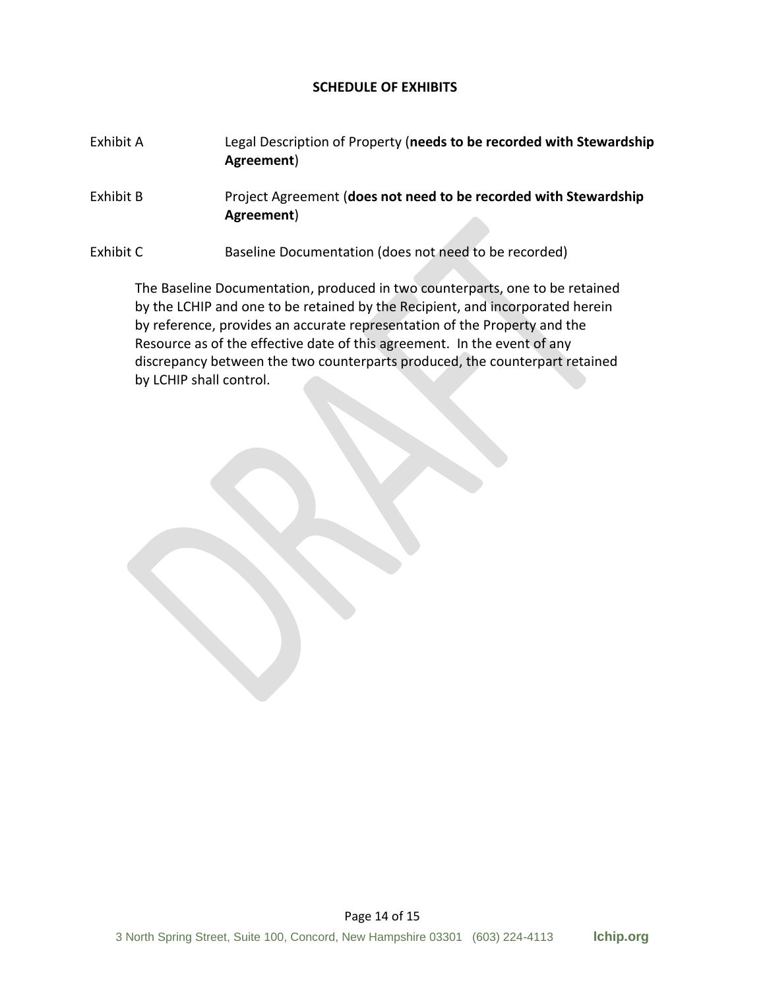### **SCHEDULE OF EXHIBITS**

## Exhibit A Legal Description of Property (**needs to be recorded with Stewardship Agreement**)

Exhibit B Project Agreement (**does not need to be recorded with Stewardship Agreement**)

Exhibit C Baseline Documentation (does not need to be recorded)

The Baseline Documentation, produced in two counterparts, one to be retained by the LCHIP and one to be retained by the Recipient, and incorporated herein by reference, provides an accurate representation of the Property and the Resource as of the effective date of this agreement. In the event of any discrepancy between the two counterparts produced, the counterpart retained by LCHIP shall control.